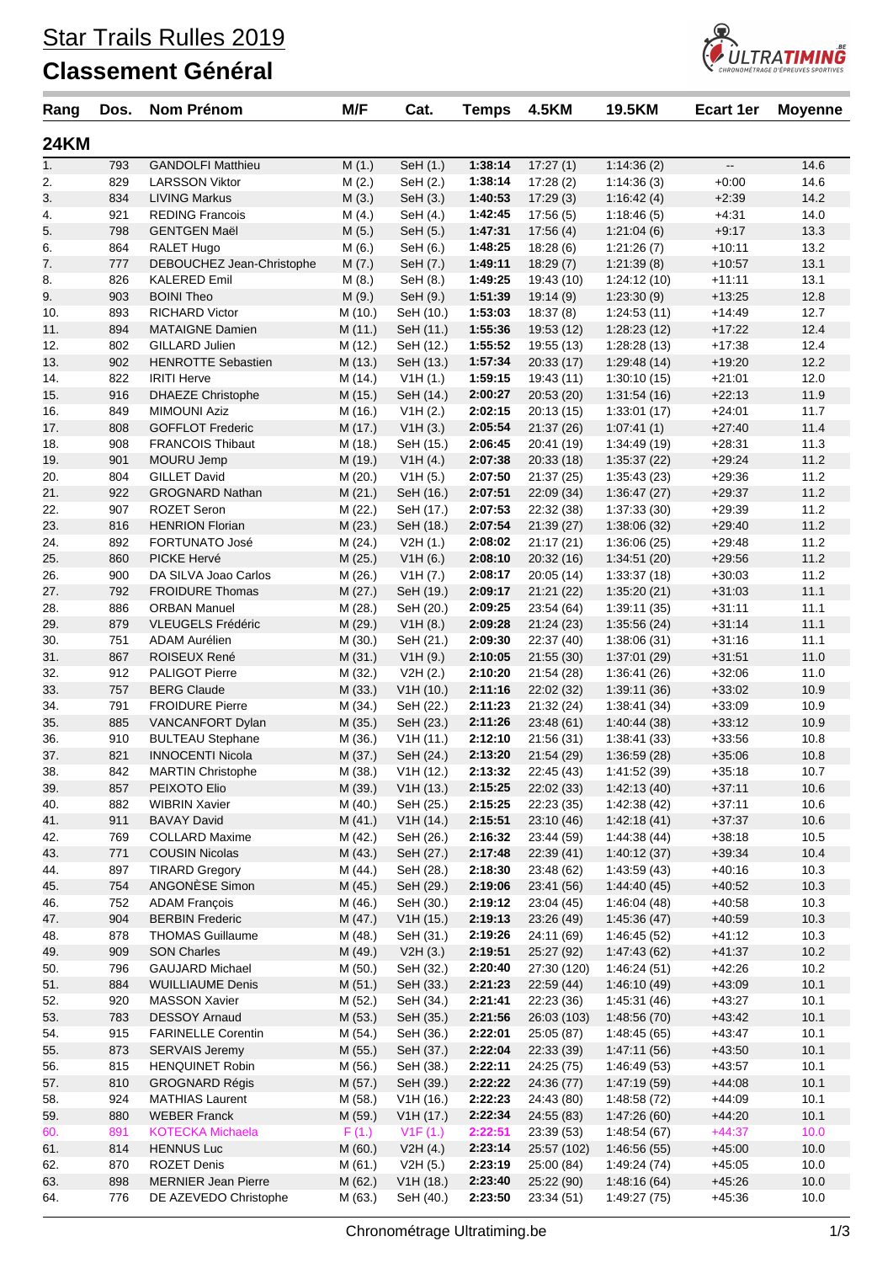## **Classement Général**



| Rang        | Dos.       | Nom Prénom                                     | M/F                | Cat.                  | <b>Temps</b>       | <b>4.5KM</b>             | <b>19.5KM</b>              | <b>Ecart 1er</b>         | <b>Moyenne</b> |
|-------------|------------|------------------------------------------------|--------------------|-----------------------|--------------------|--------------------------|----------------------------|--------------------------|----------------|
| <b>24KM</b> |            |                                                |                    |                       |                    |                          |                            |                          |                |
| 1.          | 793        | <b>GANDOLFI Matthieu</b>                       | M(1.)              | SeH (1.)              | 1:38:14            | 17:27(1)                 | 1:14:36(2)                 | $\overline{\phantom{a}}$ | 14.6           |
| 2.          | 829        | <b>LARSSON Viktor</b>                          | M(2.)              | SeH (2.)              | 1:38:14            | 17:28 (2)                | 1:14:36(3)                 | $+0:00$                  | 14.6           |
| 3.          | 834        | <b>LIVING Markus</b>                           | M(3.)              | SeH(3.)               | 1:40:53            | 17:29(3)                 | 1:16:42(4)                 | $+2:39$                  | 14.2           |
| 4.          | 921        | <b>REDING Francois</b>                         | M(4.)              | SeH (4.)              | 1:42:45            | 17:56(5)                 | 1:18:46(5)                 | $+4:31$                  | 14.0           |
| 5.          | 798        | <b>GENTGEN Maël</b>                            | M(5.)              | SeH (5.)              | 1:47:31            | 17:56(4)                 | 1:21:04(6)                 | $+9:17$                  | 13.3           |
| 6.          | 864        | <b>RALET Hugo</b>                              | M(6.)              | SeH (6.)              | 1:48:25            | 18:28 (6)                | 1:21:26(7)                 | $+10:11$                 | 13.2           |
| 7.          | 777        | DEBOUCHEZ Jean-Christophe                      | M(7.)              | SeH (7.)              | 1:49:11            | 18:29(7)                 | 1:21:39(8)                 | $+10:57$                 | 13.1           |
| 8.          | 826        | <b>KALERED Emil</b>                            | M(8.)              | SeH (8.)              | 1:49:25            | 19:43 (10)               | 1:24:12(10)                | $+11:11$                 | 13.1           |
| 9.          | 903        | <b>BOINI Theo</b>                              | M(9.)              | SeH (9.)              | 1:51:39            | 19:14(9)                 | 1:23:30(9)                 | $+13:25$                 | 12.8           |
| 10.         | 893        | <b>RICHARD Victor</b>                          | M (10.)            | SeH (10.)             | 1:53:03            | 18:37(8)                 | 1:24:53(11)                | $+14.49$                 | 12.7           |
| 11.         | 894        | <b>MATAIGNE Damien</b>                         | M(11.)             | SeH (11.)             | 1:55:36            | 19:53 (12)               | 1:28:23(12)                | $+17:22$                 | 12.4<br>12.4   |
| 12.<br>13.  | 802<br>902 | GILLARD Julien<br><b>HENROTTE Sebastien</b>    | M(12.)             | SeH (12.)             | 1:55:52<br>1:57:34 | 19:55 (13)               | 1:28:28(13)<br>1:29:48(14) | $+17:38$<br>$+19:20$     | 12.2           |
|             | 822        | <b>IRITI Herve</b>                             | M(13.)             | SeH (13.)             | 1:59:15            | 20:33 (17)               |                            | $+21:01$                 | 12.0           |
| 14.<br>15.  | 916        | <b>DHAEZE Christophe</b>                       | M (14.)<br>M (15.) | V1H(1.)<br>SeH (14.)  | 2:00:27            | 19:43 (11)<br>20:53(20)  | 1:30:10(15)<br>1:31:54(16) | $+22:13$                 | 11.9           |
| 16.         | 849        | <b>MIMOUNI Aziz</b>                            | M (16.)            | V1H(2.)               | 2:02:15            | 20:13(15)                | 1:33:01(17)                | $+24:01$                 | 11.7           |
| 17.         | 808        | <b>GOFFLOT Frederic</b>                        | M (17.)            | V1H(3.)               | 2:05:54            | 21:37(26)                | 1:07:41(1)                 | $+27:40$                 | 11.4           |
| 18.         | 908        | <b>FRANCOIS Thibaut</b>                        | M (18.)            | SeH (15.)             | 2:06:45            | 20:41 (19)               | 1:34:49(19)                | $+28:31$                 | 11.3           |
| 19.         | 901        | MOURU Jemp                                     | M (19.)            | V1H(4.)               | 2:07:38            | 20:33(18)                | 1:35:37(22)                | $+29:24$                 | 11.2           |
| 20.         | 804        | <b>GILLET David</b>                            | M (20.)            | V1H(5.)               | 2:07:50            | 21:37(25)                | 1:35:43(23)                | $+29:36$                 | 11.2           |
| 21.         | 922        | <b>GROGNARD Nathan</b>                         | M(21.)             | SeH (16.)             | 2:07:51            | 22:09(34)                | 1:36:47(27)                | $+29:37$                 | 11.2           |
| 22.         | 907        | <b>ROZET Seron</b>                             | M (22.)            | SeH (17.)             | 2:07:53            | 22:32 (38)               | 1:37:33(30)                | $+29:39$                 | 11.2           |
| 23.         | 816        | <b>HENRION Florian</b>                         | M(23.)             | SeH (18.)             | 2:07:54            | 21:39(27)                | 1:38:06(32)                | $+29:40$                 | 11.2           |
| 24.         | 892        | <b>FORTUNATO José</b>                          | M (24.)            | V2H (1.)              | 2:08:02            | 21:17(21)                | 1:36:06(25)                | $+29:48$                 | 11.2           |
| 25.         | 860        | PICKE Hervé                                    | M(25.)             | V1H(6.)               | 2:08:10            | 20:32(16)                | 1:34:51(20)                | $+29:56$                 | 11.2           |
| 26.         | 900        | DA SILVA Joao Carlos                           | M (26.)            | V1H (7.)              | 2:08:17            | 20:05(14)                | 1:33:37(18)                | $+30:03$                 | 11.2           |
| 27.         | 792        | <b>FROIDURE Thomas</b>                         | M(27.)             | SeH (19.)             | 2:09:17            | 21:21(22)                | 1:35:20(21)                | $+31:03$                 | 11.1           |
| 28.         | 886        | <b>ORBAN Manuel</b>                            | M (28.)            | SeH (20.)             | 2:09:25            | 23:54 (64)               | 1:39:11(35)                | $+31:11$                 | 11.1           |
| 29.         | 879        | VLEUGELS Frédéric                              | M (29.)            | V1H(8.)               | 2:09:28            | 21:24(23)                | 1:35:56(24)                | $+31:14$                 | 11.1           |
| 30.         | 751        | ADAM Aurélien                                  | M (30.)            | SeH (21.)             | 2:09:30            | 22:37 (40)               | 1:38:06(31)                | $+31:16$                 | 11.1           |
| 31.         | 867        | ROISEUX René                                   | M(31.)             | V1H(9.)               | 2:10:05            | 21:55(30)                | 1:37:01(29)                | $+31:51$                 | 11.0           |
| 32.         | 912        | PALIGOT Pierre                                 | M (32.)            | V2H (2.)              | 2:10:20            | 21:54 (28)               | 1:36:41(26)                | $+32:06$                 | 11.0           |
| 33.         | 757        | <b>BERG Claude</b>                             | M (33.)            | V1H(10.)              | 2:11:16            | 22:02(32)                | 1:39:11(36)                | $+33:02$                 | 10.9           |
| 34.         | 791        | <b>FROIDURE Pierre</b>                         | M (34.)            | SeH (22.)             | 2:11:23            | 21:32(24)                | 1:38:41(34)                | $+33:09$                 | 10.9           |
| 35.         | 885        | VANCANFORT Dylan                               | M (35.)            | SeH (23.)             | 2:11:26            | 23:48(61)                | 1:40:44(38)                | $+33:12$                 | 10.9           |
| 36.         | 910        | <b>BULTEAU Stephane</b>                        | M (36.)            | V1H(11.)              | 2:12:10            | 21:56 (31)               | 1:38:41(33)                | $+33:56$                 | 10.8           |
| 37.         | 821        | <b>INNOCENTI Nicola</b>                        | M (37.)            | SeH (24.)             | 2:13:20            | 21:54(29)                | 1:36:59(28)                | $+35:06$                 | 10.8           |
| 38.         | 842        | <b>MARTIN Christophe</b>                       | M (38.)            | V1H (12.)             | 2:13:32            | 22:45 (43)               | 1:41:52 (39)               | $+35:18$                 | 10.7           |
| 39.         | 857        | PEIXOTO Elio                                   | M (39.)            | V1H(13.)              | 2:15:25            | 22:02(33)                | 1:42:13(40)                | $+37:11$                 | 10.6           |
| 40.         | 882        | <b>WIBRIN Xavier</b>                           | M(40.)             | SeH (25.)             | 2:15:25            | 22:23 (35)               | 1:42:38(42)                | $+37:11$                 | 10.6           |
| 41.         | 911        | <b>BAVAY David</b>                             | M(41.)             | V1H(14.)              | 2:15:51            | 23:10 (46)               | 1:42:18(41)                | $+37:37$                 | 10.6           |
| 42.         | 769        | <b>COLLARD Maxime</b>                          | M (42.)            | SeH (26.)             | 2:16:32            | 23:44 (59)               | 1:44:38(44)                | $+38:18$                 | 10.5           |
| 43.         | 771        | <b>COUSIN Nicolas</b>                          | M(43.)             | SeH (27.)             | 2:17:48            | 22:39(41)                | 1:40:12(37)                | $+39:34$                 | 10.4           |
| 44.         | 897        | <b>TIRARD Gregory</b>                          | M (44.)            | SeH (28.)             | 2:18:30            | 23:48 (62)               | 1:43:59(43)                | $+40:16$                 | 10.3           |
| 45.         | 754<br>752 | ANGONÈSE Simon                                 | M (45.)            | SeH (29.)             | 2:19:06            | 23:41 (56)               | 1:44:40(45)                | $+40:52$<br>$+40:58$     | 10.3           |
| 46.<br>47.  | 904        | <b>ADAM François</b><br><b>BERBIN Frederic</b> | M (46.)<br>M (47.) | SeH (30.)<br>V1H(15.) | 2:19:12<br>2:19:13 | 23:04 (45)<br>23:26 (49) | 1:46:04(48)<br>1:45:36(47) | $+40:59$                 | 10.3<br>10.3   |
| 48.         | 878        | <b>THOMAS Guillaume</b>                        | M (48.)            | SeH (31.)             | 2:19:26            | 24:11 (69)               | 1:46:45(52)                | $+41:12$                 | 10.3           |
| 49.         | 909        | <b>SON Charles</b>                             | M (49.)            | V2H(3.)               | 2:19:51            | 25:27 (92)               | 1:47:43(62)                | $+41:37$                 | 10.2           |
| 50.         | 796        | <b>GAUJARD Michael</b>                         | M (50.)            | SeH (32.)             | 2:20:40            | 27:30 (120)              | 1:46:24(51)                | $+42:26$                 | 10.2           |
| 51.         | 884        | <b>WUILLIAUME Denis</b>                        | M(51.)             | SeH (33.)             | 2:21:23            | 22:59(44)                | 1:46:10(49)                | $+43:09$                 | 10.1           |
| 52.         | 920        | <b>MASSON Xavier</b>                           | M (52.)            | SeH (34.)             | 2:21:41            | 22:23 (36)               | 1:45:31(46)                | $+43.27$                 | 10.1           |
| 53.         | 783        | <b>DESSOY Arnaud</b>                           | M(53.)             | SeH (35.)             | 2:21:56            | 26:03 (103)              | 1:48:56(70)                | $+43.42$                 | 10.1           |
| 54.         | 915        | <b>FARINELLE Corentin</b>                      | M (54.)            | SeH (36.)             | 2:22:01            | 25:05 (87)               | 1:48:45(65)                | $+43:47$                 | 10.1           |
| 55.         | 873        | <b>SERVAIS Jeremy</b>                          | M (55.)            | SeH (37.)             | 2:22:04            | 22:33(39)                | 1:47:11(56)                | $+43:50$                 | 10.1           |
| 56.         | 815        | <b>HENQUINET Robin</b>                         | M (56.)            | SeH (38.)             | 2:22:11            | 24:25 (75)               | 1:46:49(53)                | $+43:57$                 | 10.1           |
| 57.         | 810        | <b>GROGNARD Régis</b>                          | M (57.)            | SeH (39.)             | 2:22:22            | 24:36 (77)               | 1:47:19(59)                | $+44:08$                 | 10.1           |
| 58.         | 924        | <b>MATHIAS Laurent</b>                         | M (58.)            | V1H(16.)              | 2:22:23            | 24:43 (80)               | 1:48:58(72)                | $+44:09$                 | 10.1           |
| 59.         | 880        | <b>WEBER Franck</b>                            | M (59.)            | V1H (17.)             | 2:22:34            | 24:55 (83)               | 1:47:26(60)                | $+44:20$                 | 10.1           |
| 60.         | 891        | <b>KOTECKA Michaela</b>                        | F(1.)              | V1F(1.)               | 2:22:51            | 23:39(53)                | 1:48:54(67)                | $+44:37$                 | 10.0           |
| 61.         | 814        | <b>HENNUS Luc</b>                              | M(60.)             | V2H(4.)               | 2:23:14            | 25:57 (102)              | 1:46:56(55)                | $+45:00$                 | 10.0           |
| 62.         | 870        | <b>ROZET Denis</b>                             | M (61.)            | V2H (5.)              | 2:23:19            | 25:00 (84)               | 1:49:24(74)                | $+45:05$                 | 10.0           |
| 63.         | 898        | <b>MERNIER Jean Pierre</b>                     | M (62.)            | V1H(18.)              | 2:23:40            | 25:22 (90)               | 1:48:16(64)                | $+45.26$                 | 10.0           |
| 64.         | 776        | DE AZEVEDO Christophe                          | M (63.)            | SeH (40.)             | 2:23:50            | 23:34 (51)               | 1:49:27(75)                | $+45:36$                 | 10.0           |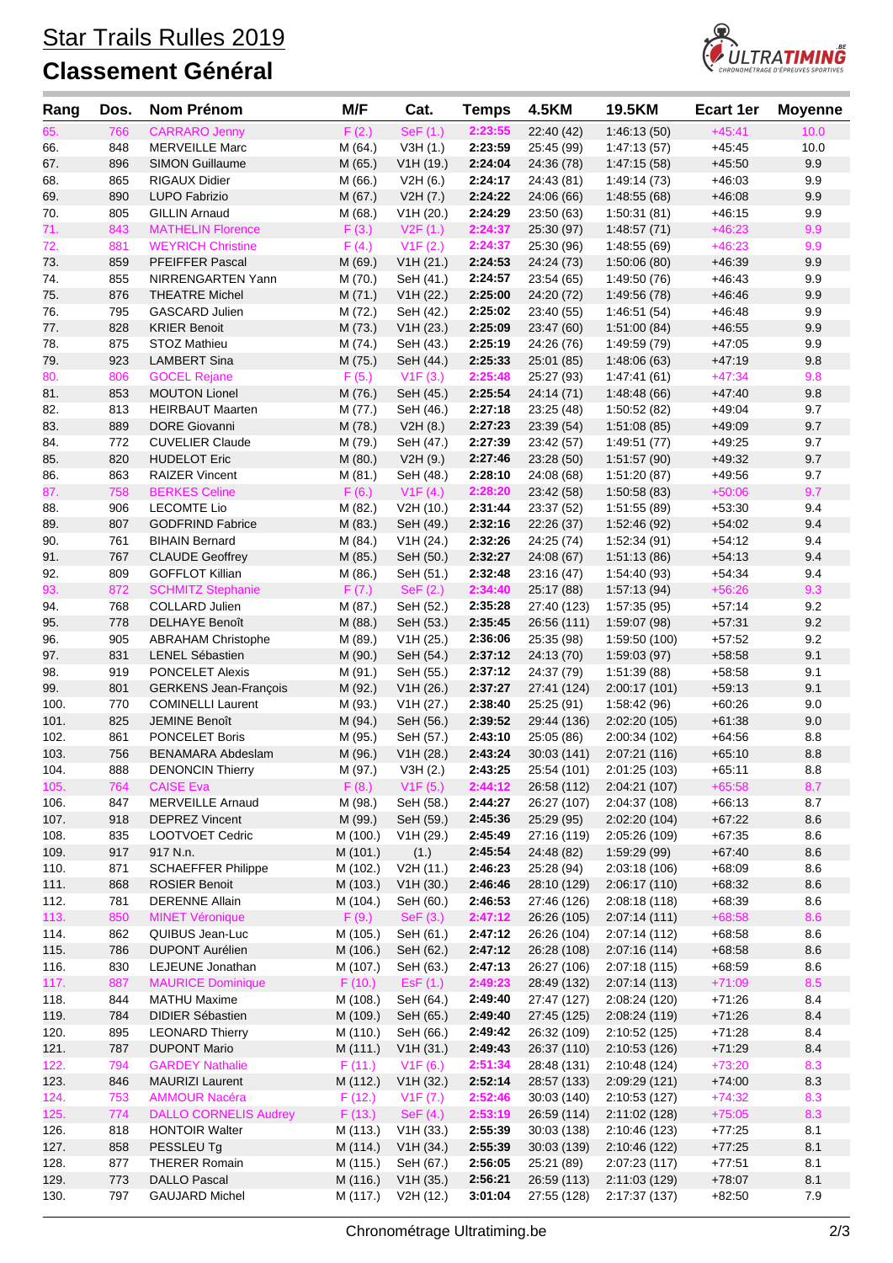## **Classement Général**



| Rang         | Dos.       | <b>Nom Prénom</b>                                   | M/F                  | Cat.                                | <b>Temps</b>       | <b>4.5KM</b>               | 19.5KM                         | <b>Ecart 1er</b>     | <b>Moyenne</b> |
|--------------|------------|-----------------------------------------------------|----------------------|-------------------------------------|--------------------|----------------------------|--------------------------------|----------------------|----------------|
| 65.          | 766        | <b>CARRARO Jenny</b>                                | F(2.)                | SeF (1.)                            | 2:23:55            | 22:40 (42)                 | 1:46:13(50)                    | $+45:41$             | 10.0           |
| 66.          | 848        | <b>MERVEILLE Marc</b>                               | M(64.)               | V3H(1.)                             | 2:23:59            | 25:45 (99)                 | 1:47:13(57)                    | $+45:45$             | 10.0           |
| 67.          | 896        | <b>SIMON Guillaume</b>                              | M (65.)              | V1H(19.)                            | 2:24:04            | 24:36 (78)                 | 1:47:15(58)                    | $+45:50$             | 9.9            |
| 68.          | 865        | <b>RIGAUX Didier</b>                                | M (66.)              | V2H(6.)                             | 2:24:17            | 24:43 (81)                 | 1:49:14(73)                    | $+46:03$             | 9.9            |
| 69.          | 890        | LUPO Fabrizio                                       | M(67.)               | V2H (7.)                            | 2:24:22            | 24:06 (66)                 | 1:48:55(68)                    | $+46:08$             | 9.9            |
| 70.          | 805        | <b>GILLIN Arnaud</b>                                | M(68.)               | V1H (20.)                           | 2:24:29            | 23:50 (63)                 | 1:50:31(81)                    | $+46:15$             | 9.9            |
| 71.          | 843        | <b>MATHELIN Florence</b>                            | F(3.)                | V2F(1.)                             | 2:24:37            | 25:30 (97)                 | 1:48:57(71)                    | $+46:23$             | 9.9            |
| 72.          | 881        | <b>WEYRICH Christine</b>                            | F(4.)                | V1F(2.)                             | 2:24:37            | 25:30 (96)                 | 1:48:55 (69)                   | $+46:23$             | 9.9            |
| 73.          | 859        | PFEIFFER Pascal                                     | M (69.)              | V1H (21.)                           | 2:24:53            | 24:24 (73)                 | 1:50:06(80)                    | $+46.39$             | 9.9            |
| 74.          | 855        | NIRRENGARTEN Yann                                   | M (70.)              | SeH (41.)                           | 2:24:57            | 23:54 (65)                 | 1:49:50 (76)                   | $+46:43$             | 9.9            |
| 75.          | 876        | <b>THEATRE Michel</b>                               | M(71.)               | V1H (22.)                           | 2:25:00            | 24:20 (72)                 | 1:49:56 (78)                   | $+46:46$             | 9.9            |
| 76.          | 795        | <b>GASCARD Julien</b>                               | M (72.)              | SeH (42.)                           | 2:25:02            | 23:40 (55)                 | 1:46:51(54)                    | $+46:48$             | 9.9            |
| 77.          | 828<br>875 | <b>KRIER Benoit</b><br>STOZ Mathieu                 | M(73.)               | V1H (23.)                           | 2:25:09<br>2:25:19 | 23:47 (60)                 | 1:51:00(84)<br>1:49:59 (79)    | $+46:55$<br>$+47:05$ | 9.9<br>9.9     |
| 78.<br>79.   | 923        | <b>LAMBERT Sina</b>                                 | M (74.)<br>M (75.)   | SeH (43.)<br>SeH (44.)              | 2:25:33            | 24:26 (76)<br>25:01 (85)   | 1:48:06(63)                    | $+47:19$             | 9.8            |
| 80.          | 806        | <b>GOCEL Rejane</b>                                 | F(5.)                | V1F(3.)                             | 2:25:48            | 25:27 (93)                 | 1:47:41(61)                    | $+47:34$             | 9.8            |
| 81.          | 853        | <b>MOUTON Lionel</b>                                | M (76.)              | SeH (45.)                           | 2:25:54            | 24:14 (71)                 | 1:48:48(66)                    | $+47:40$             | 9.8            |
| 82.          | 813        | <b>HEIRBAUT Maarten</b>                             | M (77.)              | SeH (46.)                           | 2:27:18            | 23:25 (48)                 | 1:50:52(82)                    | $+49:04$             | 9.7            |
| 83.          | 889        | <b>DORE Giovanni</b>                                | M (78.)              | V2H(8.)                             | 2:27:23            | 23:39(54)                  | 1:51:08(85)                    | $+49:09$             | 9.7            |
| 84.          | 772        | <b>CUVELIER Claude</b>                              | M (79.)              | SeH (47.)                           | 2:27:39            | 23:42 (57)                 | 1:49:51(77)                    | $+49:25$             | 9.7            |
| 85.          | 820        | <b>HUDELOT Eric</b>                                 | M(80.)               | V2H(9.)                             | 2:27:46            | 23:28(50)                  | 1:51:57(90)                    | $+49:32$             | 9.7            |
| 86.          | 863        | <b>RAIZER Vincent</b>                               | M (81.)              | SeH (48.)                           | 2:28:10            | 24:08 (68)                 | 1:51:20(87)                    | $+49:56$             | 9.7            |
| 87.          | 758        | <b>BERKES Celine</b>                                | F(6.)                | V1F(4.)                             | 2:28:20            | 23:42 (58)                 | 1:50:58(83)                    | $+50:06$             | 9.7            |
| 88.          | 906        | <b>LECOMTE Lio</b>                                  | M (82.)              | V2H(10.)                            | 2:31:44            | 23:37 (52)                 | 1:51:55(89)                    | $+53:30$             | 9.4            |
| 89.          | 807        | <b>GODFRIND Fabrice</b>                             | M (83.)              | SeH (49.)                           | 2:32:16            | 22:26(37)                  | 1:52:46(92)                    | $+54:02$             | 9.4            |
| 90.          | 761        | <b>BIHAIN Bernard</b>                               | M (84.)              | V1H (24.)                           | 2:32:26            | 24:25 (74)                 | 1:52:34(91)                    | $+54:12$             | 9.4            |
| 91.          | 767        | <b>CLAUDE Geoffrey</b>                              | M(85.)               | SeH (50.)                           | 2:32:27            | 24:08 (67)                 | 1:51:13(86)                    | $+54:13$             | 9.4            |
| 92.          | 809        | <b>GOFFLOT Killian</b>                              | M (86.)              | SeH (51.)                           | 2:32:48            | 23:16 (47)                 | 1:54:40 (93)                   | $+54:34$             | 9.4            |
| 93.          | 872        | <b>SCHMITZ Stephanie</b>                            | F(7.)                | $\mathsf{SeF}\left(2.\right)$       | 2:34:40            | 25:17 (88)                 | 1:57:13(94)                    | $+56:26$             | 9.3            |
| 94.          | 768        | <b>COLLARD Julien</b>                               | M (87.)              | SeH (52.)                           | 2:35:28            | 27:40 (123)                | 1:57:35(95)                    | $+57:14$             | 9.2            |
| 95.          | 778        | <b>DELHAYE Benoît</b>                               | M (88.)              | SeH (53.)                           | 2:35:45            | 26:56 (111)                | 1:59:07 (98)                   | $+57:31$             | 9.2            |
| 96.          | 905        | <b>ABRAHAM Christophe</b>                           | M (89.)              | V1H (25.)                           | 2:36:06            | 25:35 (98)                 | 1:59:50 (100)                  | $+57:52$             | 9.2            |
| 97.          | 831        | <b>LENEL Sébastien</b>                              | M (90.)              | SeH (54.)                           | 2:37:12            | 24:13 (70)                 | 1:59:03(97)                    | $+58:58$             | 9.1            |
| 98.          | 919        | <b>PONCELET Alexis</b>                              | M (91.)              | SeH (55.)                           | 2:37:12            | 24:37 (79)                 | 1:51:39(88)                    | $+58:58$             | 9.1            |
| 99.          | 801        | <b>GERKENS Jean-François</b>                        | M (92.)              | V1H (26.)                           | 2:37:27            | 27:41 (124)                | 2:00:17(101)                   | $+59:13$             | 9.1            |
| 100.         | 770        | <b>COMINELLI Laurent</b>                            | M (93.)              | V1H (27.)                           | 2:38:40            | 25:25 (91)                 | 1:58:42 (96)                   | $+60:26$             | 9.0            |
| 101.         | 825        | <b>JEMINE Benoît</b>                                | M (94.)              | SeH (56.)                           | 2:39:52            | 29:44 (136)                | 2:02:20 (105)                  | $+61:38$             | 9.0            |
| 102.         | 861        | <b>PONCELET Boris</b>                               | M (95.)              | SeH (57.)                           | 2:43:10<br>2:43:24 | 25:05 (86)                 | 2:00:34 (102)<br>2:07:21 (116) | $+64:56$             | 8.8            |
| 103.<br>104. | 756<br>888 | <b>BENAMARA Abdeslam</b><br><b>DENONCIN Thierry</b> | M (96.)              | V1H (28.)                           | 2:43:25            | 30:03 (141)                |                                | $+65:10$<br>$+65:11$ | 8.8<br>8.8     |
| 105.         | 764        | <b>CAISE Eva</b>                                    | M (97.)<br>F(8.)     | V3H(2.)<br>V1F(5.)                  | 2:44:12            | 25:54 (101)<br>26:58 (112) | 2:01:25 (103)<br>2:04:21 (107) | $+65:58$             | 8.7            |
| 106.         | 847        | <b>MERVEILLE Arnaud</b>                             | M (98.)              | SeH (58.)                           | 2:44:27            | 26:27 (107)                | 2:04:37 (108)                  | $+66:13$             | 8.7            |
| 107.         | 918        | <b>DEPREZ Vincent</b>                               | M (99.)              | SeH (59.)                           | 2:45:36            | 25:29 (95)                 | 2:02:20 (104)                  | $+67:22$             | $8.6\,$        |
| 108.         | 835        | LOOTVOET Cedric                                     | M (100.)             | V1H (29.)                           | 2:45:49            | 27:16 (119)                | 2:05:26 (109)                  | $+67:35$             | 8.6            |
| 109.         | 917        | 917 N.n.                                            | M (101.)             | (1.)                                | 2:45:54            | 24:48 (82)                 | 1:59:29(99)                    | $+67:40$             | $8.6\,$        |
| 110.         | 871        | <b>SCHAEFFER Philippe</b>                           | M (102.)             | V2H (11.)                           | 2:46:23            | 25:28 (94)                 | 2:03:18 (106)                  | $+68:09$             | 8.6            |
| 111.         | 868        | <b>ROSIER Benoit</b>                                | M (103.)             | V1H (30.)                           | 2:46:46            | 28:10 (129)                | 2:06:17(110)                   | $+68:32$             | $8.6\,$        |
| 112.         | 781        | <b>DERENNE Allain</b>                               | M (104.)             | SeH (60.)                           | 2:46:53            | 27:46 (126)                | 2:08:18(118)                   | $+68:39$             | 8.6            |
| 113.         | 850        | <b>MINET Véronique</b>                              | F(9.)                | SeF(3.)                             | 2:47:12            | 26:26 (105)                | 2:07:14(111)                   | $+68:58$             | 8.6            |
| 114.         | 862        | QUIBUS Jean-Luc                                     | M (105.)             | SeH (61.)                           | 2:47:12            | 26:26 (104)                | 2:07:14(112)                   | $+68:58$             | 8.6            |
| 115.         | 786        | <b>DUPONT Aurélien</b>                              | M (106.)             | SeH (62.)                           | 2:47:12            | 26:28 (108)                | 2:07:16(114)                   | $+68:58$             | 8.6            |
| 116.         | 830        | LEJEUNE Jonathan                                    | M (107.)             | SeH (63.)                           | 2:47:13            | 26:27 (106)                | 2:07:18 (115)                  | $+68:59$             | 8.6            |
| 117.         | 887        | <b>MAURICE Dominique</b>                            | F(10.)               | ESF(1.)                             | 2:49:23            | 28:49 (132)                | 2:07:14(113)                   | $+71:09$             | 8.5            |
| 118.         | 844        | <b>MATHU Maxime</b>                                 | M (108.)             | SeH (64.)                           | 2:49:40            | 27:47 (127)                | 2:08:24 (120)                  | $+71:26$             | 8.4            |
| 119.         | 784        | <b>DIDIER Sébastien</b>                             | M (109.)             | SeH (65.)                           | 2:49:40            | 27:45 (125)                | 2:08:24(119)                   | $+71:26$             | $8.4\,$        |
| 120.         | 895        | <b>LEONARD Thierry</b>                              | M (110.)             | SeH (66.)                           | 2:49:42            | 26:32 (109)                | 2:10:52 (125)                  | $+71:28$             | 8.4            |
| 121.         | 787        | <b>DUPONT Mario</b>                                 | M (111.)             | V1H (31.)                           | 2:49:43            | 26:37 (110)                | 2:10:53(126)                   | $+71:29$             | $8.4\,$        |
| 122.         | 794        | <b>GARDEY Nathalie</b>                              | F(11.)               | V1F(6.)                             | 2:51:34            | 28:48 (131)                | 2:10:48 (124)                  | $+73:20$             | 8.3            |
| 123.         | 846        | <b>MAURIZI Laurent</b>                              | M (112.)             | V1H (32.)                           | 2:52:14            | 28:57 (133)                | 2:09:29 (121)                  | $+74:00$             | 8.3            |
| 124.         | 753        | <b>AMMOUR Nacéra</b>                                | F(12.)               | V1F (7.)                            | 2:52:46            | 30:03 (140)                | 2:10:53(127)                   | $+74:32$             | 8.3            |
| 125.         | 774        | <b>DALLO CORNELIS Audrey</b>                        | F(13.)               | SeF(4.)                             | 2:53:19            | 26:59 (114)                | 2:11:02 (128)                  | $+75:05$             | 8.3            |
| 126.<br>127. | 818<br>858 | <b>HONTOIR Walter</b>                               | M (113.)             | V <sub>1</sub> H (33.)<br>V1H (34.) | 2:55:39            | 30:03 (138)                | 2:10:46 (123)                  | $+77:25$<br>$+77:25$ | 8.1<br>8.1     |
| 128.         | 877        | PESSLEU Tg<br><b>THERER Romain</b>                  | M (114.)<br>M (115.) | SeH (67.)                           | 2:55:39<br>2:56:05 | 30:03(139)<br>25:21 (89)   | 2:10:46 (122)<br>2:07:23 (117) | $+77:51$             | 8.1            |
| 129.         | 773        | <b>DALLO Pascal</b>                                 | M (116.)             | V1H (35.)                           | 2:56:21            | 26:59 (113)                | 2:11:03 (129)                  | $+78:07$             | 8.1            |
| 130.         | 797        | <b>GAUJARD Michel</b>                               | M (117.)             | V2H (12.)                           | 3:01:04            | 27:55 (128)                | 2:17:37 (137)                  | $+82:50$             | 7.9            |
|              |            |                                                     |                      |                                     |                    |                            |                                |                      |                |